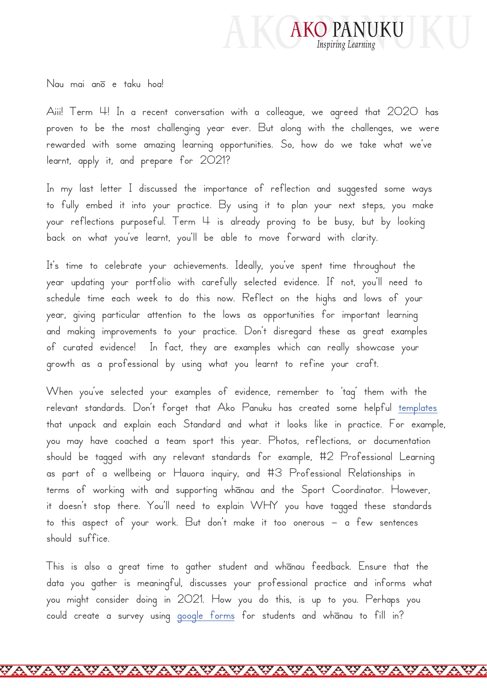

Nau mai anō e taku hoa!

Aiii! Term 4! In a recent conversation with a colleague, we agreed that 2020 has proven to be the most challenging year ever. But along with the challenges, we were rewarded with some amazing learning opportunities. So, how do we take what we've learnt, apply it, and prepare for 2021?

In my last letter I discussed the importance of reflection and suggested some ways to fully embed it into your practice. By using it to plan your next steps, you make your reflections purposeful. Term 4 is already proving to be busy, but by looking back on what you've learnt, you'll be able to move forward with clarity.

It's time to celebrate your achievements. Ideally, you've spent time throughout the year updating your portfolio with carefully selected evidence. If not, you'll need to schedule time each week to do this now. Reflect on the highs and lows of your year, giving particular attention to the lows as opportunities for important learning and making improvements to your practice. Don't disregard these as great examples of curated evidence! In fact, they are examples which can really showcase your growth as a professional by using what you learnt to refine your craft.

When you've selected your examples of evidence, remember to 'tag' them with the relevant standards. Don't forget that Ako Panuku has created some helpful [templates](https://www.akopanuku.tki.org.nz/home/SearchForm?Search=Quality+practice+templates) that unpack and explain each Standard and what it looks like in practice. For example, you may have coached a team sport this year. Photos, reflections, or documentation should be tagged with any relevant standards for example, #2 Professional Learning as part of a wellbeing or Hauora inquiry, and #3 Professional Relationships in terms of working with and supporting whānau and the Sport Coordinator. However, it doesn't stop there. You'll need to explain WHY you have tagged these standards to this aspect of your work. But don't make it too onerous – a few sentences should suffice.

This is also a great time to gather student and whānau feedback. Ensure that the data you gather is meaningful, discusses your professional practice and informs what you might consider doing in 2021. How you do this, is up to you. Perhaps you could create a survey using [google forms](https://www.google.com/forms/about/) for students and whanau to fill in?

**WA**